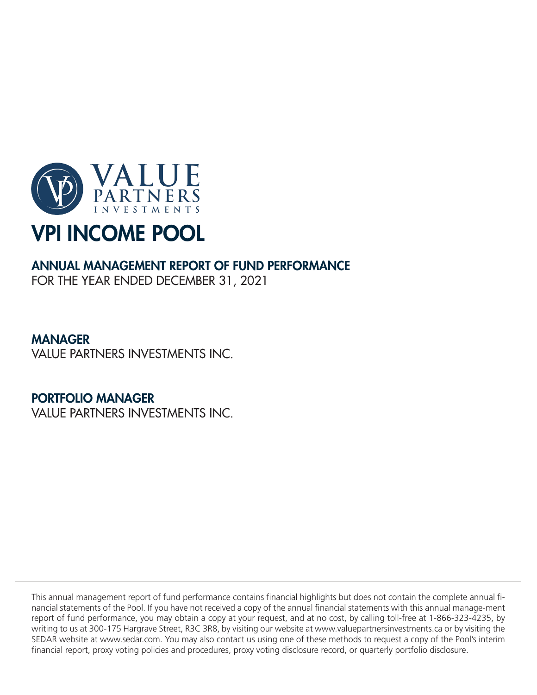

# ANNUAL MANAGEMENT REPORT OF FUND PERFORMANCE

FOR THE YEAR ENDED DECEMBER 31, 2021

# MANAGER

VALUE PARTNERS INVESTMENTS INC.

# PORTFOLIO MANAGER

VALUE PARTNERS INVESTMENTS INC.

This annual management report of fund performance contains financial highlights but does not contain the complete annual financial statements of the Pool. If you have not received a copy of the annual financial statements with this annual manage-ment report of fund performance, you may obtain a copy at your request, and at no cost, by calling toll-free at 1-866-323-4235, by writing to us at 300-175 Hargrave Street, R3C 3R8, by visiting our website at www.valuepartnersinvestments.ca or by visiting the SEDAR website at www.sedar.com. You may also contact us using one of these methods to request a copy of the Pool's interim financial report, proxy voting policies and procedures, proxy voting disclosure record, or quarterly portfolio disclosure.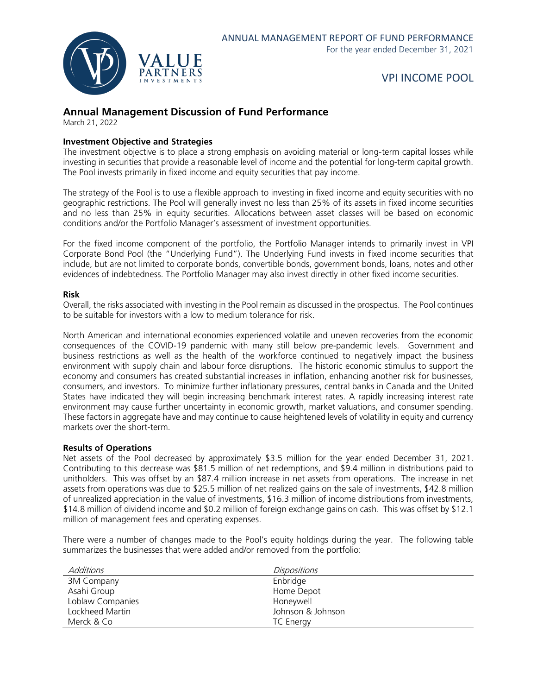

## **Annual Management Discussion of Fund Performance**

March 21, 2022

#### **Investment Objective and Strategies**

The investment objective is to place a strong emphasis on avoiding material or long-term capital losses while investing in securities that provide a reasonable level of income and the potential for long-term capital growth. The Pool invests primarily in fixed income and equity securities that pay income.

The strategy of the Pool is to use a flexible approach to investing in fixed income and equity securities with no geographic restrictions. The Pool will generally invest no less than 25% of its assets in fixed income securities and no less than 25% in equity securities. Allocations between asset classes will be based on economic conditions and/or the Portfolio Manager's assessment of investment opportunities.

For the fixed income component of the portfolio, the Portfolio Manager intends to primarily invest in VPI Corporate Bond Pool (the "Underlying Fund"). The Underlying Fund invests in fixed income securities that include, but are not limited to corporate bonds, convertible bonds, government bonds, loans, notes and other evidences of indebtedness. The Portfolio Manager may also invest directly in other fixed income securities.

#### **Risk**

Overall, the risks associated with investing in the Pool remain as discussed in the prospectus. The Pool continues to be suitable for investors with a low to medium tolerance for risk.

North American and international economies experienced volatile and uneven recoveries from the economic consequences of the COVID-19 pandemic with many still below pre-pandemic levels. Government and business restrictions as well as the health of the workforce continued to negatively impact the business environment with supply chain and labour force disruptions. The historic economic stimulus to support the economy and consumers has created substantial increases in inflation, enhancing another risk for businesses, consumers, and investors. To minimize further inflationary pressures, central banks in Canada and the United States have indicated they will begin increasing benchmark interest rates. A rapidly increasing interest rate environment may cause further uncertainty in economic growth, market valuations, and consumer spending. These factors in aggregate have and may continue to cause heightened levels of volatility in equity and currency markets over the short-term.

#### **Results of Operations**

Net assets of the Pool decreased by approximately \$3.5 million for the year ended December 31, 2021. Contributing to this decrease was \$81.5 million of net redemptions, and \$9.4 million in distributions paid to unitholders. This was offset by an \$87.4 million increase in net assets from operations. The increase in net assets from operations was due to \$25.5 million of net realized gains on the sale of investments, \$42.8 million of unrealized appreciation in the value of investments, \$16.3 million of income distributions from investments, \$14.8 million of dividend income and \$0.2 million of foreign exchange gains on cash. This was offset by \$12.1 million of management fees and operating expenses.

There were a number of changes made to the Pool's equity holdings during the year. The following table summarizes the businesses that were added and/or removed from the portfolio:

| Additions        | <i>Dispositions</i> |
|------------------|---------------------|
| 3M Company       | Enbridge            |
| Asahi Group      | Home Depot          |
| Loblaw Companies | Honeywell           |
| Lockheed Martin  | Johnson & Johnson   |
| Merck & Co       | TC Energy           |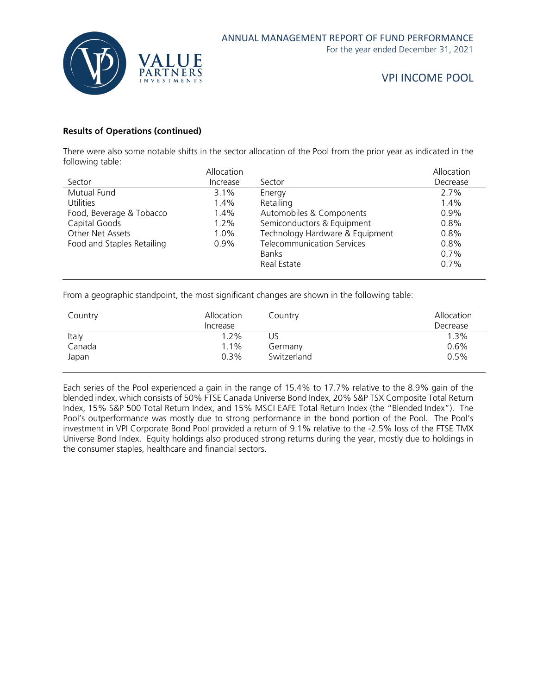

#### **Results of Operations (continued)**

There were also some notable shifts in the sector allocation of the Pool from the prior year as indicated in the following table:

|                            | Allocation |                                   | Allocation |
|----------------------------|------------|-----------------------------------|------------|
| Sector                     | Increase   | Sector                            | Decrease   |
| Mutual Fund                | $3.1\%$    | Energy                            | 2.7%       |
| <b>Utilities</b>           | 1.4%       | Retailing                         | 1.4%       |
| Food, Beverage & Tobacco   | 1.4%       | Automobiles & Components          | $0.9\%$    |
| Capital Goods              | 1.2%       | Semiconductors & Equipment        | 0.8%       |
| Other Net Assets           | 1.0%       | Technology Hardware & Equipment   | 0.8%       |
| Food and Staples Retailing | $0.9\%$    | <b>Telecommunication Services</b> | 0.8%       |
|                            |            | <b>Banks</b>                      | $0.7\%$    |
|                            |            | Real Estate                       | $0.7\%$    |
|                            |            |                                   |            |

From a geographic standpoint, the most significant changes are shown in the following table:

| Country | Allocation<br>Increase | Country     | Allocation<br>Decrease |
|---------|------------------------|-------------|------------------------|
| Italy   | $1.2\%$                | US          | 1.3%                   |
| Canada  | 1.1%                   | Germany     | 0.6%                   |
| Japan   | $0.3\%$                | Switzerland | 0.5%                   |

Each series of the Pool experienced a gain in the range of 15.4% to 17.7% relative to the 8.9% gain of the blended index, which consists of 50% FTSE Canada Universe Bond Index, 20% S&P TSX Composite Total Return Index, 15% S&P 500 Total Return Index, and 15% MSCI EAFE Total Return Index (the "Blended Index"). The Pool's outperformance was mostly due to strong performance in the bond portion of the Pool. The Pool's investment in VPI Corporate Bond Pool provided a return of 9.1% relative to the -2.5% loss of the FTSE TMX Universe Bond Index. Equity holdings also produced strong returns during the year, mostly due to holdings in the consumer staples, healthcare and financial sectors.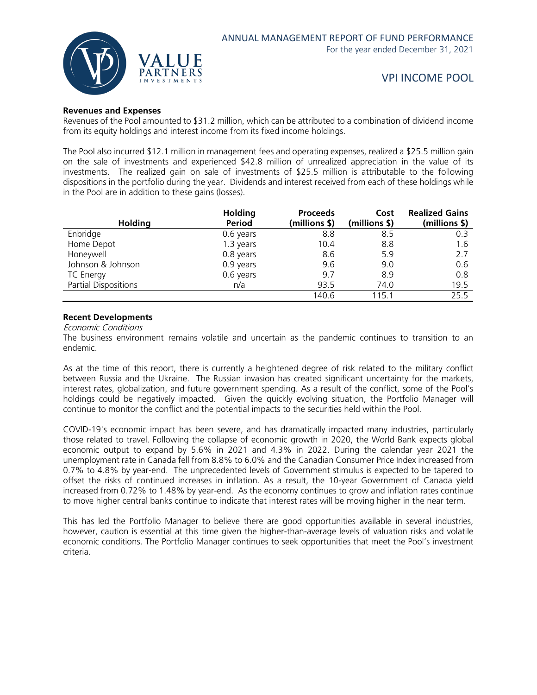

#### **Revenues and Expenses**

Revenues of the Pool amounted to \$31.2 million, which can be attributed to a combination of dividend income from its equity holdings and interest income from its fixed income holdings.

The Pool also incurred \$12.1 million in management fees and operating expenses, realized a \$25.5 million gain on the sale of investments and experienced \$42.8 million of unrealized appreciation in the value of its investments. The realized gain on sale of investments of \$25.5 million is attributable to the following dispositions in the portfolio during the year. Dividends and interest received from each of these holdings while in the Pool are in addition to these gains (losses).

| <b>Holding</b>       | <b>Holding</b><br><b>Period</b> | <b>Proceeds</b><br>(millions \$) | Cost<br>(millions \$) | <b>Realized Gains</b><br>(millions \$) |
|----------------------|---------------------------------|----------------------------------|-----------------------|----------------------------------------|
| Enbridge             | 0.6 years                       | 8.8                              | 8.5                   | 0.3                                    |
| Home Depot           | 1.3 years                       | 10.4                             | 8.8                   | 1.6                                    |
| Honeywell            | 0.8 years                       | 8.6                              | 5.9                   | 2.7                                    |
| Johnson & Johnson    | 0.9 years                       | 9.6                              | 9.0                   | 0.6                                    |
| <b>TC Energy</b>     | 0.6 years                       | 9.7                              | 8.9                   | 0.8                                    |
| Partial Dispositions | n/a                             | 93.5                             | 74.0                  | 19.5                                   |
|                      |                                 | 140.6                            | 115.1                 | 25.5                                   |

#### **Recent Developments**

Economic Conditions

The business environment remains volatile and uncertain as the pandemic continues to transition to an endemic.

As at the time of this report, there is currently a heightened degree of risk related to the military conflict between Russia and the Ukraine. The Russian invasion has created significant uncertainty for the markets, interest rates, globalization, and future government spending. As a result of the conflict, some of the Pool's holdings could be negatively impacted. Given the quickly evolving situation, the Portfolio Manager will continue to monitor the conflict and the potential impacts to the securities held within the Pool.

COVID-19's economic impact has been severe, and has dramatically impacted many industries, particularly those related to travel. Following the collapse of economic growth in 2020, the World Bank expects global economic output to expand by 5.6% in 2021 and 4.3% in 2022. During the calendar year 2021 the unemployment rate in Canada fell from 8.8% to 6.0% and the Canadian Consumer Price Index increased from 0.7% to 4.8% by year-end. The unprecedented levels of Government stimulus is expected to be tapered to offset the risks of continued increases in inflation. As a result, the 10-year Government of Canada yield increased from 0.72% to 1.48% by year-end. As the economy continues to grow and inflation rates continue to move higher central banks continue to indicate that interest rates will be moving higher in the near term.

This has led the Portfolio Manager to believe there are good opportunities available in several industries, however, caution is essential at this time given the higher-than-average levels of valuation risks and volatile economic conditions. The Portfolio Manager continues to seek opportunities that meet the Pool's investment criteria.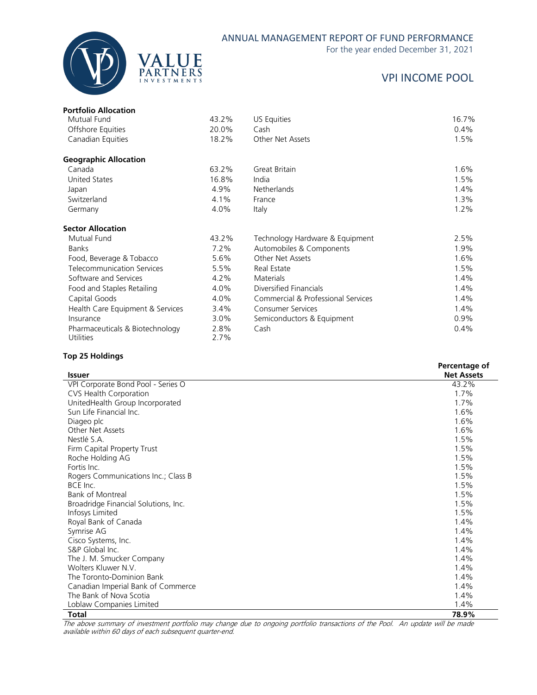

#### ANNUAL MANAGEMENT REPORT OF FUND PERFORMANCE

For the year ended December 31, 2021

# VPI INCOME POOL

| <b>Portfolio Allocation</b>                         |              |                                    |         |
|-----------------------------------------------------|--------------|------------------------------------|---------|
| Mutual Fund                                         | 43.2%        | US Equities                        | 16.7%   |
| Offshore Equities                                   | 20.0%        | Cash                               | $0.4\%$ |
| Canadian Equities                                   | 18.2%        | Other Net Assets                   | 1.5%    |
| <b>Geographic Allocation</b>                        |              |                                    |         |
| Canada                                              | 63.2%        | Great Britain                      | 1.6%    |
| United States                                       | 16.8%        | India                              | 1.5%    |
| Japan                                               | 4.9%         | Netherlands                        | 1.4%    |
| Switzerland                                         | 4.1%         | France                             | 1.3%    |
| Germany                                             | 4.0%         | Italy                              | 1.2%    |
| <b>Sector Allocation</b>                            |              |                                    |         |
| Mutual Fund                                         | 43.2%        | Technology Hardware & Equipment    | 2.5%    |
| <b>Banks</b>                                        | $7.2\%$      | Automobiles & Components           | 1.9%    |
| Food, Beverage & Tobacco                            | 5.6%         | Other Net Assets                   | 1.6%    |
| <b>Telecommunication Services</b>                   | 5.5%         | Real Estate                        | 1.5%    |
| Software and Services                               | 4.2%         | <b>Materials</b>                   | 1.4%    |
| Food and Staples Retailing                          | 4.0%         | Diversified Financials             | 1.4%    |
| Capital Goods                                       | 4.0%         | Commercial & Professional Services | 1.4%    |
| Health Care Equipment & Services                    | $3.4\%$      | <b>Consumer Services</b>           | 1.4%    |
| Insurance                                           | 3.0%         | Semiconductors & Equipment         | $0.9\%$ |
| Pharmaceuticals & Biotechnology<br><b>Utilities</b> | 2.8%<br>2.7% | Cash                               | 0.4%    |

#### **Top 25 Holdings**

| <b>Issuer</b>                        | Percentage of<br><b>Net Assets</b> |
|--------------------------------------|------------------------------------|
| VPI Corporate Bond Pool - Series O   | 43.2%                              |
| CVS Health Corporation               | 1.7%                               |
| UnitedHealth Group Incorporated      | 1.7%                               |
| Sun Life Financial Inc.              | 1.6%                               |
| Diageo plc                           | 1.6%                               |
| Other Net Assets                     | 1.6%                               |
| Nestlé S.A.                          | 1.5%                               |
| Firm Capital Property Trust          | 1.5%                               |
| Roche Holding AG                     | 1.5%                               |
| Fortis Inc.                          | 1.5%                               |
| Rogers Communications Inc.; Class B  | 1.5%                               |
| BCE Inc.                             | 1.5%                               |
| <b>Bank of Montreal</b>              | 1.5%                               |
| Broadridge Financial Solutions, Inc. | 1.5%                               |
| Infosys Limited                      | 1.5%                               |
| Royal Bank of Canada                 | 1.4%                               |
| Symrise AG                           | 1.4%                               |
| Cisco Systems, Inc.                  | 1.4%                               |
| S&P Global Inc.                      | 1.4%                               |
| The J. M. Smucker Company            | 1.4%                               |
| Wolters Kluwer N.V.                  | 1.4%                               |
| The Toronto-Dominion Bank            | 1.4%                               |
| Canadian Imperial Bank of Commerce   | 1.4%                               |
| The Bank of Nova Scotia              | 1.4%                               |
| Loblaw Companies Limited             | 1.4%                               |
| Total                                | 78.9%                              |

The above summary of investment portfolio may change due to ongoing portfolio transactions of the Pool. An update will be made available within 60 days of each subsequent quarter-end.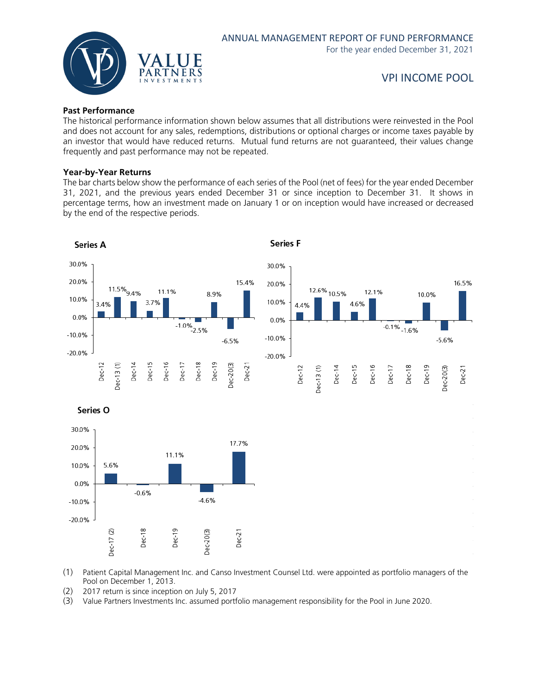

#### **Past Performance**

The historical performance information shown below assumes that all distributions were reinvested in the Pool and does not account for any sales, redemptions, distributions or optional charges or income taxes payable by an investor that would have reduced returns. Mutual fund returns are not guaranteed, their values change frequently and past performance may not be repeated.

#### **Year-by-Year Returns**

The bar charts below show the performance of each series of the Pool (net of fees) for the year ended December 31, 2021, and the previous years ended December 31 or since inception to December 31. It shows in percentage terms, how an investment made on January 1 or on inception would have increased or decreased by the end of the respective periods.



(1) Patient Capital Management Inc. and Canso Investment Counsel Ltd. were appointed as portfolio managers of the Pool on December 1, 2013.

(2) 2017 return is since inception on July 5, 2017

(3) Value Partners Investments Inc. assumed portfolio management responsibility for the Pool in June 2020.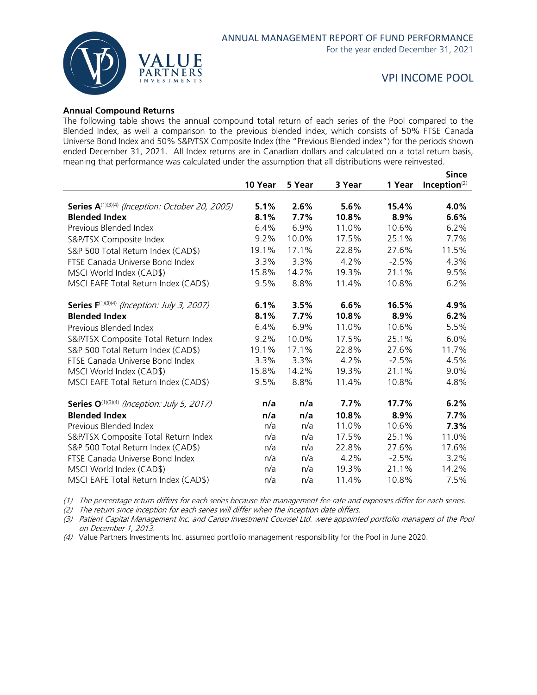

#### **Annual Compound Returns**

The following table shows the annual compound total return of each series of the Pool compared to the Blended Index, as well a comparison to the previous blended index, which consists of 50% FTSE Canada Universe Bond Index and 50% S&P/TSX Composite Index (the "Previous Blended index") for the periods shown ended December 31, 2021. All Index returns are in Canadian dollars and calculated on a total return basis, meaning that performance was calculated under the assumption that all distributions were reinvested.

|                                                                |         |        |        |         | <b>Since</b>    |
|----------------------------------------------------------------|---------|--------|--------|---------|-----------------|
|                                                                | 10 Year | 5 Year | 3 Year | 1 Year  | Inception $(2)$ |
|                                                                |         |        |        |         |                 |
| Series A <sup>(1)(3)(4)</sup> (Inception: October 20, 2005)    | 5.1%    | 2.6%   | 5.6%   | 15.4%   | 4.0%            |
| <b>Blended Index</b>                                           | 8.1%    | 7.7%   | 10.8%  | 8.9%    | 6.6%            |
| Previous Blended Index                                         | 6.4%    | 6.9%   | 11.0%  | 10.6%   | 6.2%            |
| S&P/TSX Composite Index                                        | 9.2%    | 10.0%  | 17.5%  | 25.1%   | 7.7%            |
| S&P 500 Total Return Index (CAD\$)                             | 19.1%   | 17.1%  | 22.8%  | 27.6%   | 11.5%           |
| FTSE Canada Universe Bond Index                                | 3.3%    | 3.3%   | 4.2%   | $-2.5%$ | 4.3%            |
| MSCI World Index (CAD\$)                                       | 15.8%   | 14.2%  | 19.3%  | 21.1%   | 9.5%            |
| MSCI EAFE Total Return Index (CAD\$)                           | 9.5%    | 8.8%   | 11.4%  | 10.8%   | 6.2%            |
| <b>Series F</b> <sup>(1)(3)(4)</sup> (Inception: July 3, 2007) | 6.1%    | 3.5%   | 6.6%   | 16.5%   | 4.9%            |
| <b>Blended Index</b>                                           | 8.1%    | 7.7%   | 10.8%  | 8.9%    | 6.2%            |
| Previous Blended Index                                         | 6.4%    | 6.9%   | 11.0%  | 10.6%   | 5.5%            |
| S&P/TSX Composite Total Return Index                           | 9.2%    | 10.0%  | 17.5%  | 25.1%   | 6.0%            |
| S&P 500 Total Return Index (CAD\$)                             | 19.1%   | 17.1%  | 22.8%  | 27.6%   | 11.7%           |
| FTSE Canada Universe Bond Index                                | 3.3%    | 3.3%   | 4.2%   | $-2.5%$ | 4.5%            |
| MSCI World Index (CAD\$)                                       | 15.8%   | 14.2%  | 19.3%  | 21.1%   | 9.0%            |
| MSCI EAFE Total Return Index (CAD\$)                           | 9.5%    | 8.8%   | 11.4%  | 10.8%   | 4.8%            |
| <b>Series O</b> <sup>(1)(3)(4)</sup> (Inception: July 5, 2017) | n/a     | n/a    | 7.7%   | 17.7%   | 6.2%            |
| <b>Blended Index</b>                                           | n/a     | n/a    | 10.8%  | 8.9%    | 7.7%            |
| Previous Blended Index                                         | n/a     | n/a    | 11.0%  | 10.6%   | 7.3%            |
| S&P/TSX Composite Total Return Index                           | n/a     | n/a    | 17.5%  | 25.1%   | 11.0%           |
| S&P 500 Total Return Index (CAD\$)                             | n/a     | n/a    | 22.8%  | 27.6%   | 17.6%           |
| FTSE Canada Universe Bond Index                                | n/a     | n/a    | 4.2%   | $-2.5%$ | 3.2%            |
| MSCI World Index (CAD\$)                                       | n/a     | n/a    | 19.3%  | 21.1%   | 14.2%           |
| MSCI EAFE Total Return Index (CAD\$)                           | n/a     | n/a    | 11.4%  | 10.8%   | 7.5%            |
|                                                                |         |        |        |         |                 |

 $(1)$  The percentage return differs for each series because the management fee rate and expenses differ for each series.

(2) The return since inception for each series will differ when the inception date differs.

(3) Patient Capital Management Inc. and Canso Investment Counsel Ltd. were appointed portfolio managers of the Pool on December 1, 2013.

(4) Value Partners Investments Inc. assumed portfolio management responsibility for the Pool in June 2020.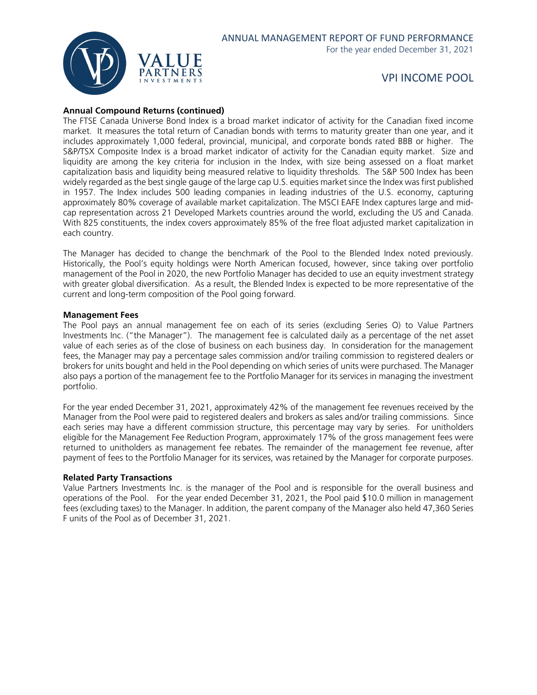

#### **Annual Compound Returns (continued)**

The FTSE Canada Universe Bond Index is a broad market indicator of activity for the Canadian fixed income market. It measures the total return of Canadian bonds with terms to maturity greater than one year, and it includes approximately 1,000 federal, provincial, municipal, and corporate bonds rated BBB or higher. The S&P/TSX Composite Index is a broad market indicator of activity for the Canadian equity market. Size and liquidity are among the key criteria for inclusion in the Index, with size being assessed on a float market capitalization basis and liquidity being measured relative to liquidity thresholds. The S&P 500 Index has been widely regarded as the best single gauge of the large cap U.S. equities market since the Index was first published in 1957. The Index includes 500 leading companies in leading industries of the U.S. economy, capturing approximately 80% coverage of available market capitalization. The MSCI EAFE Index captures large and midcap representation across 21 Developed Markets countries around the world, excluding the US and Canada. With 825 constituents, the index covers approximately 85% of the free float adjusted market capitalization in each country.

The Manager has decided to change the benchmark of the Pool to the Blended Index noted previously. Historically, the Pool's equity holdings were North American focused, however, since taking over portfolio management of the Pool in 2020, the new Portfolio Manager has decided to use an equity investment strategy with greater global diversification. As a result, the Blended Index is expected to be more representative of the current and long-term composition of the Pool going forward.

#### **Management Fees**

The Pool pays an annual management fee on each of its series (excluding Series O) to Value Partners Investments Inc. ("the Manager"). The management fee is calculated daily as a percentage of the net asset value of each series as of the close of business on each business day. In consideration for the management fees, the Manager may pay a percentage sales commission and/or trailing commission to registered dealers or brokers for units bought and held in the Pool depending on which series of units were purchased. The Manager also pays a portion of the management fee to the Portfolio Manager for its services in managing the investment portfolio.

For the year ended December 31, 2021, approximately 42% of the management fee revenues received by the Manager from the Pool were paid to registered dealers and brokers as sales and/or trailing commissions. Since each series may have a different commission structure, this percentage may vary by series. For unitholders eligible for the Management Fee Reduction Program, approximately 17% of the gross management fees were returned to unitholders as management fee rebates. The remainder of the management fee revenue, after payment of fees to the Portfolio Manager for its services, was retained by the Manager for corporate purposes.

#### **Related Party Transactions**

Value Partners Investments Inc. is the manager of the Pool and is responsible for the overall business and operations of the Pool. For the year ended December 31, 2021, the Pool paid \$10.0 million in management fees (excluding taxes) to the Manager. In addition, the parent company of the Manager also held 47,360 Series F units of the Pool as of December 31, 2021.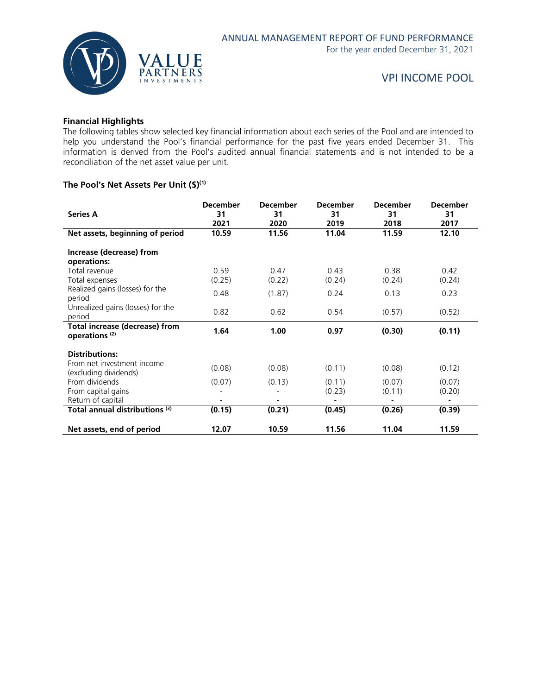

#### **Financial Highlights**

The following tables show selected key financial information about each series of the Pool and are intended to help you understand the Pool's financial performance for the past five years ended December 31. This information is derived from the Pool's audited annual financial statements and is not intended to be a reconciliation of the net asset value per unit.

#### **The Pool's Net Assets Per Unit (\$)(1)**

|                                       | <b>December</b> | <b>December</b> | <b>December</b> | December | <b>December</b> |
|---------------------------------------|-----------------|-----------------|-----------------|----------|-----------------|
| <b>Series A</b>                       | 31              | 31              | 31              | 31       | 31              |
|                                       | 2021            | 2020            | 2019            | 2018     | 2017            |
| Net assets, beginning of period       | 10.59           | 11.56           | 11.04           | 11.59    | 12.10           |
|                                       |                 |                 |                 |          |                 |
| Increase (decrease) from              |                 |                 |                 |          |                 |
| operations:                           |                 |                 |                 |          |                 |
| Total revenue                         | 0.59            | 0.47            | 0.43            | 0.38     | 0.42            |
| Total expenses                        | (0.25)          | (0.22)          | (0.24)          | (0.24)   | (0.24)          |
| Realized gains (losses) for the       | 0.48            | (1.87)          | 0.24            | 0.13     | 0.23            |
| period                                |                 |                 |                 |          |                 |
| Unrealized gains (losses) for the     |                 |                 |                 |          |                 |
| period                                | 0.82            | 0.62            | 0.54            | (0.57)   | (0.52)          |
| <b>Total increase (decrease) from</b> |                 |                 |                 |          |                 |
| operations <sup>(2)</sup>             | 1.64            | 1.00            | 0.97            | (0.30)   | (0.11)          |
|                                       |                 |                 |                 |          |                 |
| <b>Distributions:</b>                 |                 |                 |                 |          |                 |
| From net investment income            | (0.08)          | (0.08)          | (0.11)          | (0.08)   | (0.12)          |
| (excluding dividends)                 |                 |                 |                 |          |                 |
| From dividends                        | (0.07)          | (0.13)          | (0.11)          | (0.07)   | (0.07)          |
| From capital gains                    |                 |                 | (0.23)          | (0.11)   | (0.20)          |
| Return of capital                     |                 |                 |                 |          |                 |
| Total annual distributions (3)        | (0.15)          | (0.21)          | (0.45)          | (0.26)   | (0.39)          |
|                                       |                 |                 |                 |          |                 |
| Net assets, end of period             | 12.07           | 10.59           | 11.56           | 11.04    | 11.59           |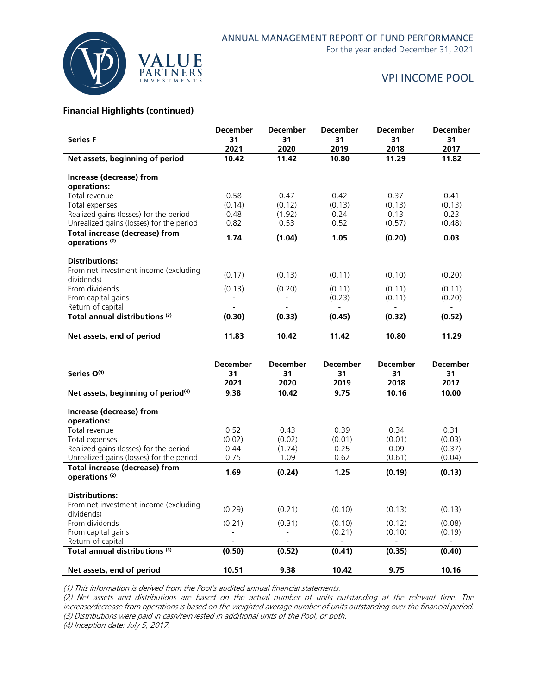

## ANNUAL MANAGEMENT REPORT OF FUND PERFORMANCE

For the year ended December 31, 2021

## VPI INCOME POOL

#### **Financial Highlights (continued)**

| <b>Series F</b>                                                    | <b>December</b><br>31<br>2021 | <b>December</b><br>31<br>2020 | <b>December</b><br>31<br>2019 | <b>December</b><br>31<br>2018 | <b>December</b><br>31<br>2017 |
|--------------------------------------------------------------------|-------------------------------|-------------------------------|-------------------------------|-------------------------------|-------------------------------|
| Net assets, beginning of period                                    | 10.42                         | 11.42                         | 10.80                         | 11.29                         | 11.82                         |
| Increase (decrease) from<br>operations:                            |                               |                               |                               |                               |                               |
| Total revenue                                                      | 0.58                          | 0.47                          | 0.42                          | 0.37                          | 0.41                          |
| Total expenses                                                     | (0.14)                        | (0.12)                        | (0.13)                        | (0.13)                        | (0.13)                        |
| Realized gains (losses) for the period                             | 0.48                          | (1.92)                        | 0.24                          | 0.13                          | 0.23                          |
| Unrealized gains (losses) for the period                           | 0.82                          | 0.53                          | 0.52                          | (0.57)                        | (0.48)                        |
| <b>Total increase (decrease) from</b><br>operations <sup>(2)</sup> | 1.74                          | (1.04)                        | 1.05                          | (0.20)                        | 0.03                          |
| <b>Distributions:</b>                                              |                               |                               |                               |                               |                               |
| From net investment income (excluding<br>dividends)                | (0.17)                        | (0.13)                        | (0.11)                        | (0.10)                        | (0.20)                        |
| From dividends                                                     | (0.13)                        | (0.20)                        | (0.11)                        | (0.11)                        | (0.11)                        |
| From capital gains                                                 |                               |                               | (0.23)                        | (0.11)                        | (0.20)                        |
| Return of capital                                                  |                               |                               |                               |                               |                               |
| Total annual distributions (3)                                     | (0.30)                        | (0.33)                        | (0.45)                        | (0.32)                        | (0.52)                        |
| Net assets, end of period                                          | 11.83                         | 10.42                         | 11.42                         | 10.80                         | 11.29                         |

| Series O <sup>(4)</sup>                                                            | <b>December</b><br>31<br>2021      | <b>December</b><br>31<br>2020 | <b>December</b><br>31<br>2019 | <b>December</b><br>31<br>2018 | <b>December</b><br>31<br>2017 |
|------------------------------------------------------------------------------------|------------------------------------|-------------------------------|-------------------------------|-------------------------------|-------------------------------|
| Net assets, beginning of period <sup>(4)</sup>                                     | 9.38                               | 10.42                         | 9.75                          | 10.16                         | 10.00                         |
| Increase (decrease) from<br>operations:                                            |                                    |                               |                               |                               |                               |
| Total revenue<br>Total expenses                                                    | 0.52<br>(0.02)                     | 0.43<br>(0.02)                | 0.39<br>(0.01)                | 0.34<br>(0.01)                | 0.31<br>(0.03)                |
| Realized gains (losses) for the period<br>Unrealized gains (losses) for the period | 0.44<br>0.75                       | (1.74)<br>1.09                | 0.25<br>0.62                  | 0.09<br>(0.61)                | (0.37)<br>(0.04)              |
| Total increase (decrease) from<br>operations <sup>(2)</sup>                        | 1.69                               | (0.24)                        | 1.25                          | (0.19)                        | (0.13)                        |
| <b>Distributions:</b>                                                              |                                    |                               |                               |                               |                               |
| From net investment income (excluding<br>dividends)                                | (0.29)                             | (0.21)                        | (0.10)                        | (0.13)                        | (0.13)                        |
| From dividends<br>From capital gains                                               | (0.21)<br>$\overline{\phantom{0}}$ | (0.31)                        | (0.10)<br>(0.21)              | (0.12)<br>(0.10)              | (0.08)<br>(0.19)              |
| Return of capital                                                                  | $\overline{\phantom{a}}$           | $\overline{\phantom{a}}$      |                               |                               | $\qquad \qquad \blacksquare$  |
| Total annual distributions (3)                                                     | (0.50)                             | (0.52)                        | (0.41)                        | (0.35)                        | (0.40)                        |
| Net assets, end of period                                                          | 10.51                              | 9.38                          | 10.42                         | 9.75                          | 10.16                         |

(1) This information is derived from the Pool's audited annual financial statements.

(2) Net assets and distributions are based on the actual number of units outstanding at the relevant time. The increase/decrease from operations is based on the weighted average number of units outstanding over the financial period. (3) Distributions were paid in cash/reinvested in additional units of the Pool, or both.

(4) Inception date: July 5, 2017.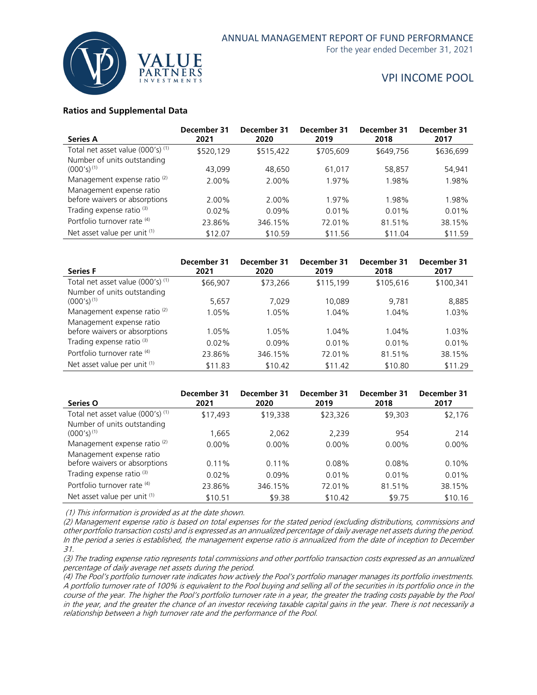

#### **Ratios and Supplemental Data**

| <b>Series A</b>                         | December 31<br>2021 | December 31<br>2020 | December 31<br>2019 | December 31<br>2018 | December 31<br>2017 |
|-----------------------------------------|---------------------|---------------------|---------------------|---------------------|---------------------|
| Total net asset value (000's) (1)       | \$520,129           | \$515,422           | \$705,609           | \$649,756           | \$636,699           |
| Number of units outstanding             |                     |                     |                     |                     |                     |
| $(000's)^{(1)}$                         | 43.099              | 48.650              | 61,017              | 58,857              | 54,941              |
| Management expense ratio <sup>(2)</sup> | 2.00%               | 2.00%               | 1.97%               | 1.98%               | 1.98%               |
| Management expense ratio                |                     |                     |                     |                     |                     |
| before waivers or absorptions           | 2.00%               | 2.00%               | 1.97%               | 1.98%               | 1.98%               |
| Trading expense ratio <sup>(3)</sup>    | $0.02\%$            | $0.09\%$            | 0.01%               | 0.01%               | 0.01%               |
| Portfolio turnover rate (4)             | 23.86%              | 346.15%             | 72.01%              | 81.51%              | 38.15%              |
| Net asset value per unit (1)            | \$12.07             | \$10.59             | \$11.56             | \$11.04             | \$11.59             |

| <b>Series F</b>                         | December 31<br>2021 | December 31<br>2020 | December 31<br>2019 | December 31<br>2018 | December 31<br>2017 |
|-----------------------------------------|---------------------|---------------------|---------------------|---------------------|---------------------|
| Total net asset value (000's) (1)       | \$66,907            | \$73,266            | \$115,199           | \$105,616           | \$100,341           |
| Number of units outstanding             |                     |                     |                     |                     |                     |
| $(000's)^{(1)}$                         | 5,657               | 7.029               | 10.089              | 9.781               | 8,885               |
| Management expense ratio <sup>(2)</sup> | 1.05%               | 1.05%               | 1.04%               | 1.04%               | 1.03%               |
| Management expense ratio                |                     |                     |                     |                     |                     |
| before waivers or absorptions           | 1.05%               | 1.05%               | 1.04%               | 1.04%               | 1.03%               |
| Trading expense ratio <sup>(3)</sup>    | 0.02%               | $0.09\%$            | 0.01%               | 0.01%               | 0.01%               |
| Portfolio turnover rate (4)             | 23.86%              | 346.15%             | 72.01%              | 81.51%              | 38.15%              |
| Net asset value per unit (1)            | \$11.83             | \$10.42             | \$11.42             | \$10.80             | \$11.29             |

| Series O                                | December 31<br>2021 | December 31<br>2020 | December 31<br>2019 | December 31<br>2018 | December 31<br>2017 |
|-----------------------------------------|---------------------|---------------------|---------------------|---------------------|---------------------|
| Total net asset value (000's) (1)       | \$17,493            | \$19,338            | \$23,326            | \$9,303             | \$2,176             |
| Number of units outstanding             |                     |                     |                     |                     |                     |
| $(000's)^{(1)}$                         | 1.665               | 2,062               | 2,239               | 954                 | 214                 |
| Management expense ratio <sup>(2)</sup> | $0.00\%$            | $0.00\%$            | $0.00\%$            | $0.00\%$            | $0.00\%$            |
| Management expense ratio                |                     |                     |                     |                     |                     |
| before waivers or absorptions           | 0.11%               | 0.11%               | 0.08%               | 0.08%               | 0.10%               |
| Trading expense ratio <sup>(3)</sup>    | $0.02\%$            | $0.09\%$            | 0.01%               | 0.01%               | 0.01%               |
| Portfolio turnover rate (4)             | 23.86%              | 346.15%             | 72.01%              | 81.51%              | 38.15%              |
| Net asset value per unit (1)            | \$10.51             | \$9.38              | \$10.42             | \$9.75              | \$10.16             |

(1) This information is provided as at the date shown.

(2) Management expense ratio is based on total expenses for the stated period (excluding distributions, commissions and other portfolio transaction costs) and is expressed as an annualized percentage of daily average net assets during the period. In the period a series is established, the management expense ratio is annualized from the date of inception to December 31.

(3) The trading expense ratio represents total commissions and other portfolio transaction costs expressed as an annualized percentage of daily average net assets during the period.

(4) The Pool's portfolio turnover rate indicates how actively the Pool's portfolio manager manages its portfolio investments. A portfolio turnover rate of 100% is equivalent to the Pool buying and selling all of the securities in its portfolio once in the course of the year. The higher the Pool's portfolio turnover rate in a year, the greater the trading costs payable by the Pool in the year, and the greater the chance of an investor receiving taxable capital gains in the year. There is not necessarily a relationship between a high turnover rate and the performance of the Pool.